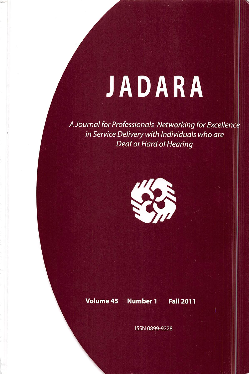# JADARA

A Journal for Professionals Networking for Excellence in Service Delivery with Individuals who are Deaf or Hard of Hearing



### Volume 45 Number 1 Fall 2011

ISSN 0899-9228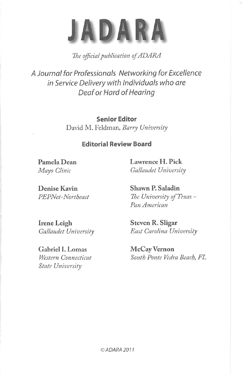# JADARA

## The official publication of ADARA

A Journal for Professionals Networking for Excellence in Service Delivery with Individuals who are Deaf or Hard of Hearing

> Senior Editor David M. Feldman, Barry University

#### Editorial Review Board

Pamela Dean Lawrence H. Pick Mayo Clinic Gallaudet University

Irene Leigh Steven R. Sligar

Gabriel I. Lomas McCay Vernon State University

Denise Kavin Shawn P. Saladin PEPNet-Northeast The University of Texas -Pan American

Gallaudet University East Carolina University

Western Connecticut South Ponte Vedra Beach, FL